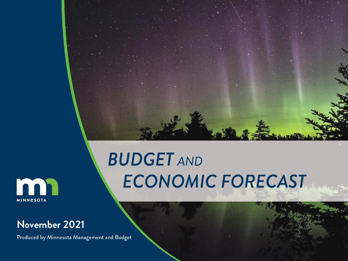

#### m **MINNESOTA**

#### November 2021

Produced by Minnesota Management and Budget

# **BUDGET AND** ECONOMIC FORECAST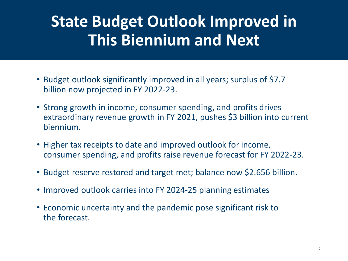## **State Budget Outlook Improved in This Biennium and Next**

- Budget outlook significantly improved in all years; surplus of \$7.7 billion now projected in FY 2022-23.
- Strong growth in income, consumer spending, and profits drives extraordinary revenue growth in FY 2021, pushes \$3 billion into current biennium.
- Higher tax receipts to date and improved outlook for income, consumer spending, and profits raise revenue forecast for FY 2022-23.
- Budget reserve restored and target met; balance now \$2.656 billion.
- Improved outlook carries into FY 2024-25 planning estimates
- Economic uncertainty and the pandemic pose significant risk to the forecast.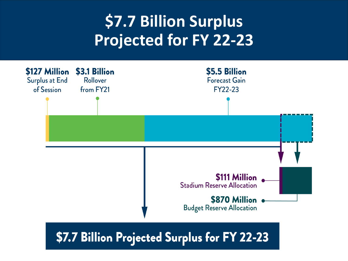## **\$7.7 Billion Surplus Projected for FY 22-23**



\$7.7 Billion Projected Surplus for FY 22-23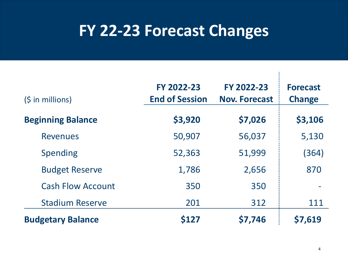### **FY 22-23 Forecast Changes**

| $(S \in \mathbb{N})$ in millions) | FY 2022-23<br><b>End of Session</b> | FY 2022-23<br><b>Nov. Forecast</b> | <b>Forecast</b><br><b>Change</b> |
|-----------------------------------|-------------------------------------|------------------------------------|----------------------------------|
| <b>Beginning Balance</b>          | \$3,920                             | \$7,026                            | \$3,106                          |
| <b>Revenues</b>                   | 50,907                              | 56,037                             | 5,130                            |
| <b>Spending</b>                   | 52,363                              | 51,999                             | (364)                            |
| <b>Budget Reserve</b>             | 1,786                               | 2,656                              | 870                              |
| <b>Cash Flow Account</b>          | 350                                 | 350                                |                                  |
| <b>Stadium Reserve</b>            | 201                                 | 312                                | 111                              |
| <b>Budgetary Balance</b>          | <b>S127</b>                         | \$7,746                            | \$7,619                          |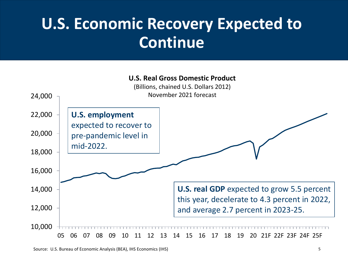## **U.S. Economic Recovery Expected to Continue**

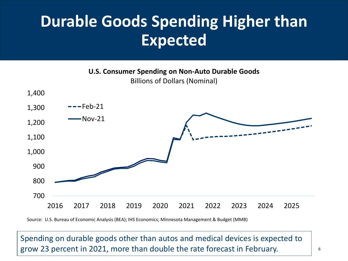## **Durable Goods Spending Higher than Expected**

**U.S. Consumer Spending on Non-Auto Durable Goods** Billions of Dollars (Nominal)



Source: U.S. Bureau of Economic Analysis (BEA); IHS Economics; Minnesota Management & Budget (MMB)

Spending on durable goods other than autos and medical devices is expected to grow 23 percent in 2021, more than double the rate forecast in February.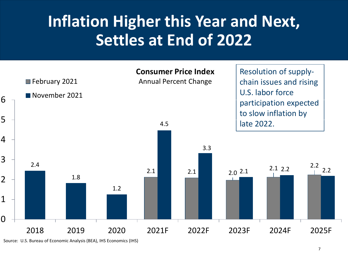## **Inflation Higher this Year and Next, Settles at End of 2022**



Source: U.S. Bureau of Economic Analysis (BEA), IHS Economics (IHS)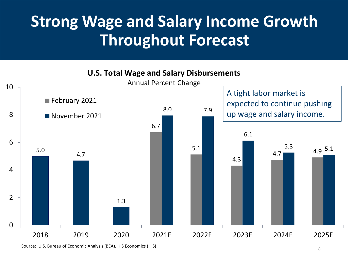#### **Strong Wage and Salary Income Growth Throughout Forecast**



Source: U.S. Bureau of Economic Analysis (BEA), IHS Economics (IHS)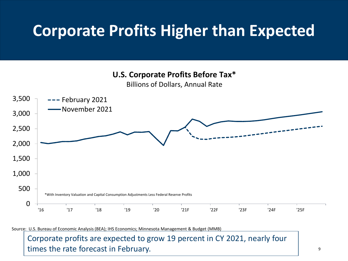#### **Corporate Profits Higher than Expected**

**U.S. Corporate Profits Before Tax\***

Billions of Dollars, Annual Rate



Source: U.S. Bureau of Economic Analysis (BEA); IHS Economics; Minnesota Management & Budget (MMB)

Corporate profits are expected to grow 19 percent in CY 2021, nearly four times the rate forecast in February.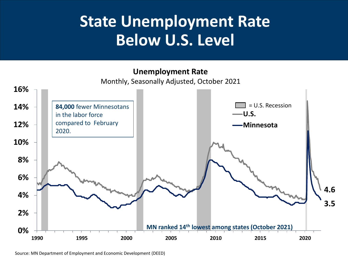#### **State Unemployment Rate Below U.S. Level**

**Unemployment Rate**





Source: MN Department of Employment and Economic Development (DEED)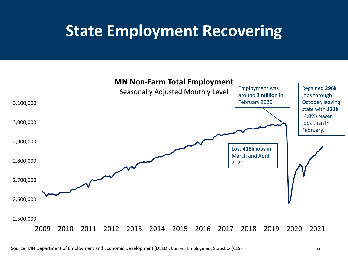#### **State Employment Recovering**

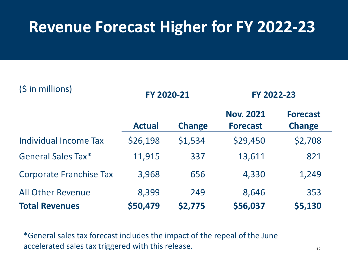#### **Revenue Forecast Higher for FY 2022-23**

| (\$ in millions)               | FY 2020-21    |               | FY 2022-23                          |                                  |
|--------------------------------|---------------|---------------|-------------------------------------|----------------------------------|
|                                | <b>Actual</b> | <b>Change</b> | <b>Nov. 2021</b><br><b>Forecast</b> | <b>Forecast</b><br><b>Change</b> |
| Individual Income Tax          | \$26,198      | \$1,534       | \$29,450                            | \$2,708                          |
| <b>General Sales Tax*</b>      | 11,915        | 337           | 13,611                              | 821                              |
| <b>Corporate Franchise Tax</b> | 3,968         | 656           | 4,330                               | 1,249                            |
| <b>All Other Revenue</b>       | 8,399         | 249           | 8,646                               | 353                              |
| <b>Total Revenues</b>          | \$50,479      | \$2,775       | \$56,037                            | \$5,130                          |

\*General sales tax forecast includes the impact of the repeal of the June accelerated sales tax triggered with this release.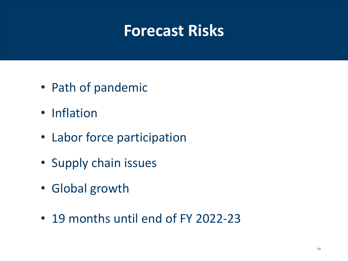#### **Forecast Risks**

- Path of pandemic
- Inflation
- Labor force participation
- Supply chain issues
- Global growth
- 19 months until end of FY 2022-23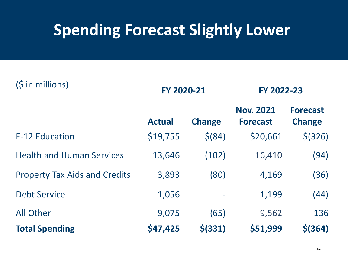## **Spending Forecast Slightly Lower**

| $(S \in \mathbb{N})$ in millions)    | FY 2020-21    |                          | FY 2022-23                          |                                  |
|--------------------------------------|---------------|--------------------------|-------------------------------------|----------------------------------|
|                                      | <b>Actual</b> | <b>Change</b>            | <b>Nov. 2021</b><br><b>Forecast</b> | <b>Forecast</b><br><b>Change</b> |
| E-12 Education                       | \$19,755      | \$ (84)                  | \$20,661                            | \$ (326)                         |
| <b>Health and Human Services</b>     | 13,646        | (102)                    | 16,410                              | (94)                             |
| <b>Property Tax Aids and Credits</b> | 3,893         | (80)                     | 4,169                               | (36)                             |
| <b>Debt Service</b>                  | 1,056         | $\overline{\phantom{m}}$ | 1,199                               | (44)                             |
| <b>All Other</b>                     | 9,075         | (65)                     | 9,562                               | 136                              |
| <b>Total Spending</b>                | \$47,425      | $$$ (331)                | \$51,999                            | $$$ (364)                        |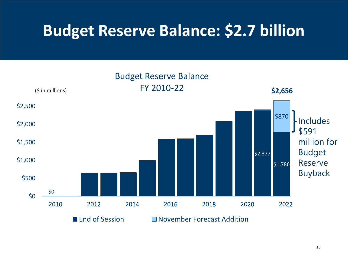## **Budget Reserve Balance: \$2.7 billion**

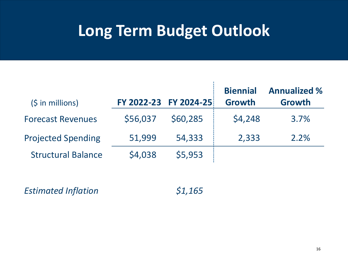#### **Long Term Budget Outlook**

| $(\frac{1}{2} in millions)$ |          | FY 2022-23 FY 2024-25 | <b>Biennial</b><br><b>Growth</b> | <b>Annualized %</b><br><b>Growth</b> |
|-----------------------------|----------|-----------------------|----------------------------------|--------------------------------------|
| <b>Forecast Revenues</b>    | \$56,037 | \$60,285              | \$4,248                          | 3.7%                                 |
| <b>Projected Spending</b>   | 51,999   | 54,333                | 2,333                            | 2.2%                                 |
| <b>Structural Balance</b>   | \$4,038  | \$5,953               |                                  |                                      |

*Estimated Inflation \$1,165*